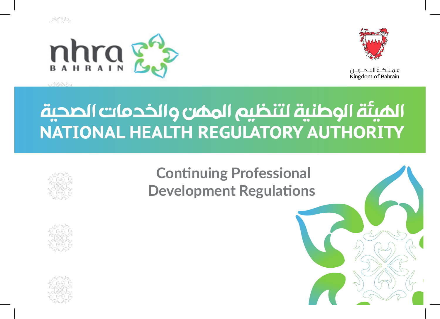



فملكة التحريين Kingdom of Bahrain

# الميئة الوطنية لتنظيم الممن والخدمات الصحية NATIONAL HEALTH REGULATORY AUTHORITY



**Continuing Professional Development Regulations**



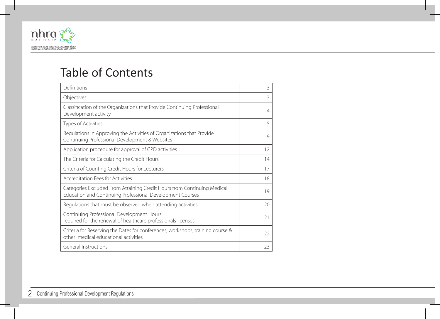

## Table of Contents

| Definitions                                                                                                                          | 3  |
|--------------------------------------------------------------------------------------------------------------------------------------|----|
| Objectives                                                                                                                           | 3  |
| Classification of the Organizations that Provide Continuing Professional<br>Development activity                                     | 4  |
| Types of Activities                                                                                                                  | 5  |
| Regulations in Approving the Activities of Organizations that Provide<br>Continuing Professional Development & Websites              | 9  |
| Application procedure for approval of CPD activities                                                                                 | 12 |
| The Criteria for Calculating the Credit Hours                                                                                        | 14 |
| Criteria of Counting Credit Hours for Lecturers                                                                                      | 17 |
| Accreditation Fees for Activities                                                                                                    | 18 |
| Categories Excluded From Attaining Credit Hours from Continuing Medical<br>Education and Continuing Professional Development Courses | 19 |
| Regulations that must be observed when attending activities                                                                          | 20 |
| Continuing Professional Development Hours<br>required for the renewal of healthcare professionals licenses                           | 21 |
| Criteria for Reserving the Dates for conferences, workshops, training course &<br>other medical educational activities               | 22 |
| General Instructions                                                                                                                 | 23 |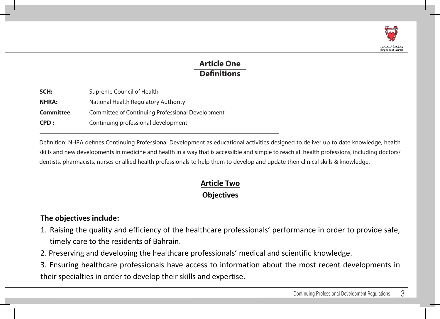

## **Article One Definitions**

| SCH:         | Supreme Council of Health                        |
|--------------|--------------------------------------------------|
| <b>NHRA:</b> | National Health Regulatory Authority             |
| Committee:   | Committee of Continuing Professional Development |
| CPD:         | Continuing professional development              |

Definition: NHRA defines Continuing Professional Development as educational activities designed to deliver up to date knowledge, health skills and new developments in medicine and health in a way that is accessible and simple to reach all health professions, including doctors/ dentists, pharmacists, nurses or allied health professionals to help them to develop and update their clinical skills & knowledge.

## **Article Two Objectives**

#### The objectives include:

- 1. Raising the quality and efficiency of the healthcare professionals' performance in order to provide safe, timely care to the residents of Bahrain.
- 2. Preserving and developing the healthcare professionals' medical and scientific knowledge.
- 3. Ensuring healthcare professionals have access to information about the most recent developments in their specialties in order to develop their skills and expertise.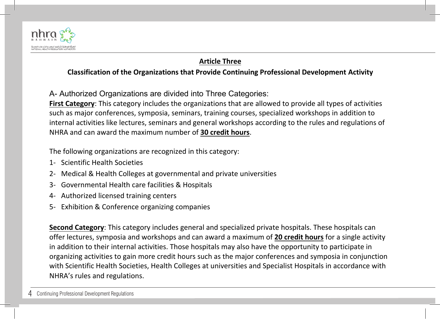

## **Article Three**

#### **Classification of the Organizations that Provide Continuing Professional Development Activity**

A- Authorized Organizations are divided into Three Categories:

**First Category**: This category includes the organizations that are allowed to provide all types of activities such as major conferences, symposia, seminars, training courses, specialized workshops in addition to internal activities like lectures, seminars and general workshops according to the rules and regulations of NHRA and can award the maximum number of 30 credit hours.

The following organizations are recognized in this category:

- 1- Scientific Health Societies
- 2- Medical & Health Colleges at governmental and private universities
- 3- Governmental Health care facilities & Hospitals
- 4- Authorized licensed training centers
- 5- Exhibition & Conference organizing companies

**Second Category**: This category includes general and specialized private hospitals. These hospitals can offer lectures, symposia and workshops and can award a maximum of 20 credit hours for a single activity in addition to their internal activities. Those hospitals may also have the opportunity to participate in organizing activities to gain more credit hours such as the major conferences and symposia in conjunction with Scientific Health Societies, Health Colleges at universities and Specialist Hospitals in accordance with NHRA's rules and regulations.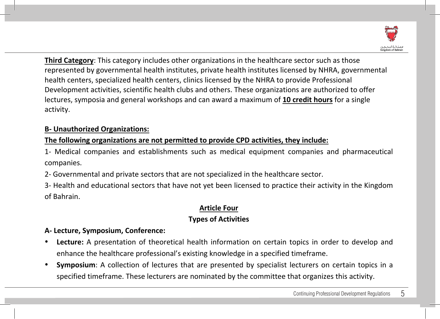

Third Category: This category includes other organizations in the healthcare sector such as those represented by governmental health institutes, private health institutes licensed by NHRA, governmental health centers, specialized health centers, clinics licensed by the NHRA to provide Professional Development activities, scientific health clubs and others. These organizations are authorized to offer lectures, symposia and general workshops and can award a maximum of 10 credit hours for a single activity. 

#### **B- Unauthorized Organizations:**

## The following organizations are not permitted to provide CPD activities, they include:

1- Medical companies and establishments such as medical equipment companies and pharmaceutical companies. 

2- Governmental and private sectors that are not specialized in the healthcare sector.

3- Health and educational sectors that have not yet been licensed to practice their activity in the Kingdom of Bahrain. 

#### **Article Four**

## **Types of Activities**

#### **A- Lecture, Symposium, Conference:**

- **Lecture:** A presentation of theoretical health information on certain topics in order to develop and enhance the healthcare professional's existing knowledge in a specified timeframe.
- **Symposium:** A collection of lectures that are presented by specialist lecturers on certain topics in a specified timeframe. These lecturers are nominated by the committee that organizes this activity.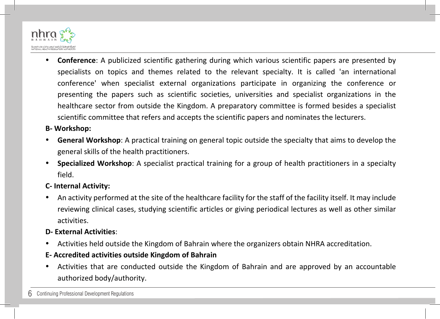

**Conference**: A publicized scientific gathering during which various scientific papers are presented by specialists on topics and themes related to the relevant specialty. It is called 'an international conference' when specialist external organizations participate in organizing the conference or presenting the papers such as scientific societies, universities and specialist organizations in the healthcare sector from outside the Kingdom. A preparatory committee is formed besides a specialist scientific committee that refers and accepts the scientific papers and nominates the lecturers.

#### **B- Workshop:**

- **General Workshop:** A practical training on general topic outside the specialty that aims to develop the general skills of the health practitioners.
- **Specialized Workshop**: A specialist practical training for a group of health practitioners in a specialty field.

#### **C- Internal Activity:**

An activity performed at the site of the healthcare facility for the staff of the facility itself. It may include reviewing clinical cases, studying scientific articles or giving periodical lectures as well as other similar activities. 

#### **D- External Activities**:

Activities held outside the Kingdom of Bahrain where the organizers obtain NHRA accreditation.

#### **E- Accredited activities outside Kingdom of Bahrain**

Activities that are conducted outside the Kingdom of Bahrain and are approved by an accountable authorized body/authority.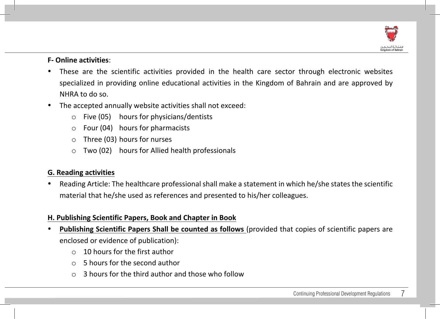

#### **F- Online activities**:

- These are the scientific activities provided in the health care sector through electronic websites specialized in providing online educational activities in the Kingdom of Bahrain and are approved by NHRA to do so.
- The accepted annually website activities shall not exceed:
	- $\circ$  Five (05) hours for physicians/dentists
	- $\circ$  Four (04) hours for pharmacists
	- $\circ$  Three (03) hours for nurses
	- $\circ$  Two (02) hours for Allied health professionals

#### **G. Reading activities**

Reading Article: The healthcare professional shall make a statement in which he/she states the scientific material that he/she used as references and presented to his/her colleagues.

#### **H. Publishing Scientific Papers, Book and Chapter in Book**

- **Publishing Scientific Papers Shall be counted as follows** (provided that copies of scientific papers are enclosed or evidence of publication):
	- $\circ$  10 hours for the first author
	- $\circ$  5 hours for the second author
	- 3 hours for the third author and those who follow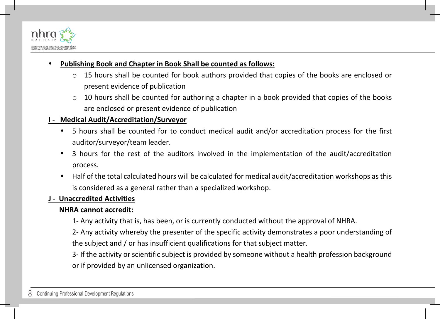

#### **Publishing Book and Chapter in Book Shall be counted as follows:**

- $\circ$  15 hours shall be counted for book authors provided that copies of the books are enclosed or present evidence of publication
- $\circ$  10 hours shall be counted for authoring a chapter in a book provided that copies of the books are enclosed or present evidence of publication

#### **I - Medical Audit/Accreditation/Surveyor**

- 5 hours shall be counted for to conduct medical audit and/or accreditation process for the first auditor/surveyor/team leader.
- 3 hours for the rest of the auditors involved in the implementation of the audit/accreditation process.
- Half of the total calculated hours will be calculated for medical audit/accreditation workshops as this is considered as a general rather than a specialized workshop.

#### **J - Unaccredited Activities**

#### **NHRA** cannot accredit:

- 1- Any activity that is, has been, or is currently conducted without the approval of NHRA.
- 2- Any activity whereby the presenter of the specific activity demonstrates a poor understanding of the subject and / or has insufficient qualifications for that subject matter.
- 3- If the activity or scientific subject is provided by someone without a health profession background or if provided by an unlicensed organization.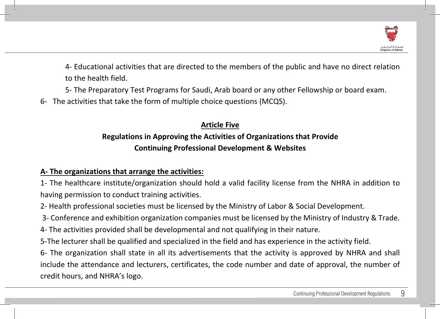

4- Educational activities that are directed to the members of the public and have no direct relation to the health field

5- The Preparatory Test Programs for Saudi, Arab board or any other Fellowship or board exam.

6- The activities that take the form of multiple choice questions (MCQS).

## **Article Five Regulations in Approving the Activities of Organizations that Provide Continuing Professional Development & Websites**

## A- The organizations that arrange the activities:

1- The healthcare institute/organization should hold a valid facility license from the NHRA in addition to having permission to conduct training activities.

2- Health professional societies must be licensed by the Ministry of Labor & Social Development.

3- Conference and exhibition organization companies must be licensed by the Ministry of Industry & Trade.

4- The activities provided shall be developmental and not qualifying in their nature.

5-The lecturer shall be qualified and specialized in the field and has experience in the activity field.

6- The organization shall state in all its advertisements that the activity is approved by NHRA and shall include the attendance and lecturers, certificates, the code number and date of approval, the number of credit hours, and NHRA's logo.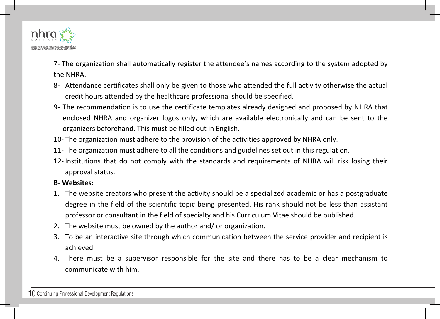

7- The organization shall automatically register the attendee's names according to the system adopted by the NHRA.

- 8- Attendance certificates shall only be given to those who attended the full activity otherwise the actual credit hours attended by the healthcare professional should be specified.
- 9- The recommendation is to use the certificate templates already designed and proposed by NHRA that enclosed NHRA and organizer logos only, which are available electronically and can be sent to the organizers beforehand. This must be filled out in English.
- 10- The organization must adhere to the provision of the activities approved by NHRA only.
- 11- The organization must adhere to all the conditions and guidelines set out in this regulation.
- 12- Institutions that do not comply with the standards and requirements of NHRA will risk losing their approval status.

#### **B- Websites:**

- 1. The website creators who present the activity should be a specialized academic or has a postgraduate degree in the field of the scientific topic being presented. His rank should not be less than assistant professor or consultant in the field of specialty and his Curriculum Vitae should be published.
- 2. The website must be owned by the author and/ or organization.
- 3. To be an interactive site through which communication between the service provider and recipient is achieved.
- 4. There must be a supervisor responsible for the site and there has to be a clear mechanism to communicate with him.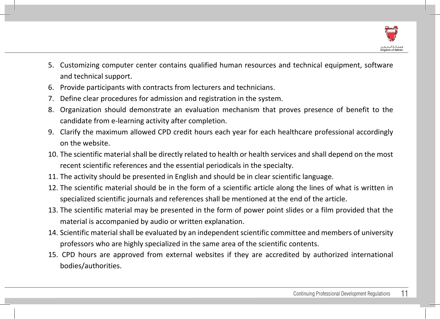

- 5. Customizing computer center contains qualified human resources and technical equipment, software and technical support.
- 6. Provide participants with contracts from lecturers and technicians.
- 7. Define clear procedures for admission and registration in the system.
- 8. Organization should demonstrate an evaluation mechanism that proves presence of benefit to the candidate from e-learning activity after completion.
- 9. Clarify the maximum allowed CPD credit hours each year for each healthcare professional accordingly on the website.
- 10. The scientific material shall be directly related to health or health services and shall depend on the most recent scientific references and the essential periodicals in the specialty.
- 11. The activity should be presented in English and should be in clear scientific language.
- 12. The scientific material should be in the form of a scientific article along the lines of what is written in specialized scientific journals and references shall be mentioned at the end of the article.
- 13. The scientific material may be presented in the form of power point slides or a film provided that the material is accompanied by audio or written explanation.
- 14. Scientific material shall be evaluated by an independent scientific committee and members of university professors who are highly specialized in the same area of the scientific contents.
- 15. CPD hours are approved from external websites if they are accredited by authorized international bodies/authorities.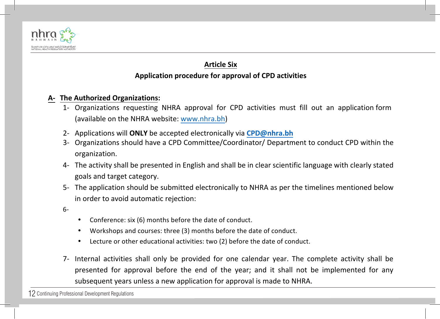

## **Article Six Application procedure for approval of CPD activities**

#### **A- The Authorized Organizations:**

- 1- Organizations requesting NHRA approval for CPD activities must fill out an application form (available on the NHRA website: www.nhra.bh)
- 2- Applications will **ONLY** be accepted electronically via **CPD@nhra.bh**
- 3- Organizations should have a CPD Committee/Coordinator/ Department to conduct CPD within the organization.
- 4- The activity shall be presented in English and shall be in clear scientific language with clearly stated goals and target category.
- 5- The application should be submitted electronically to NHRA as per the timelines mentioned below in order to avoid automatic rejection:

6-

- Conference: six (6) months before the date of conduct.
- Workshops and courses: three (3) months before the date of conduct.
- Lecture or other educational activities: two (2) before the date of conduct.
- 7- Internal activities shall only be provided for one calendar year. The complete activity shall be presented for approval before the end of the year; and it shall not be implemented for any subsequent years unless a new application for approval is made to NHRA.

12 Continuing Professional Development Regulations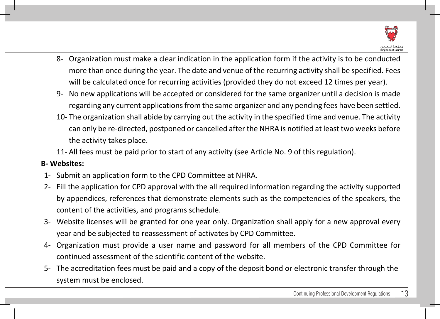

- 8- Organization must make a clear indication in the application form if the activity is to be conducted more than once during the year. The date and venue of the recurring activity shall be specified. Fees will be calculated once for recurring activities (provided they do not exceed 12 times per year).
- 9- No new applications will be accepted or considered for the same organizer until a decision is made regarding any current applications from the same organizer and any pending fees have been settled.
- 10- The organization shall abide by carrying out the activity in the specified time and venue. The activity can only be re-directed, postponed or cancelled after the NHRA is notified at least two weeks before the activity takes place.
- 11- All fees must be paid prior to start of any activity (see Article No. 9 of this regulation).

#### **B- Websites:**

- 1- Submit an application form to the CPD Committee at NHRA.
- 2- Fill the application for CPD approval with the all required information regarding the activity supported by appendices, references that demonstrate elements such as the competencies of the speakers, the content of the activities, and programs schedule.
- 3- Website licenses will be granted for one year only. Organization shall apply for a new approval every year and be subjected to reassessment of activates by CPD Committee.
- 4- Organization must provide a user name and password for all members of the CPD Committee for continued assessment of the scientific content of the website.
- 5- The accreditation fees must be paid and a copy of the deposit bond or electronic transfer through the system must be enclosed.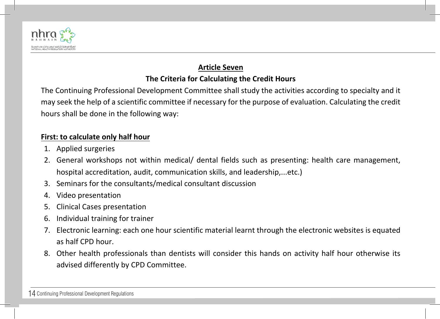

## **Article Seven**

## **The Criteria for Calculating the Credit Hours**

The Continuing Professional Development Committee shall study the activities according to specialty and it may seek the help of a scientific committee if necessary for the purpose of evaluation. Calculating the credit hours shall be done in the following way:

#### **First: to calculate only half hour**

- 1. Applied surgeries
- 2. General workshops not within medical/ dental fields such as presenting: health care management, hospital accreditation, audit, communication skills, and leadership,...etc.)
- 3. Seminars for the consultants/medical consultant discussion
- 4. Video presentation
- 5. Clinical Cases presentation
- 6. Individual training for trainer
- 7. Electronic learning: each one hour scientific material learnt through the electronic websites is equated as half CPD hour.
- 8. Other health professionals than dentists will consider this hands on activity half hour otherwise its advised differently by CPD Committee.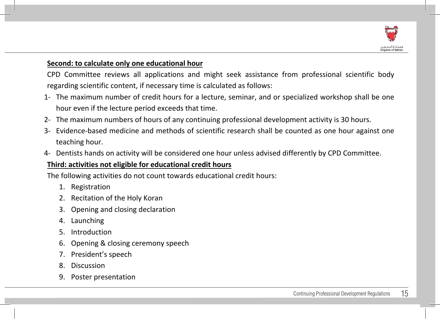

#### **Second: to calculate only one educational hour**

CPD Committee reviews all applications and might seek assistance from professional scientific body regarding scientific content, if necessary time is calculated as follows:

- 1- The maximum number of credit hours for a lecture, seminar, and or specialized workshop shall be one hour even if the lecture period exceeds that time.
- 2- The maximum numbers of hours of any continuing professional development activity is 30 hours.
- 3- Evidence-based medicine and methods of scientific research shall be counted as one hour against one teaching hour.
- 4- Dentists hands on activity will be considered one hour unless advised differently by CPD Committee.

#### Third: activities not eligible for educational credit hours

The following activities do not count towards educational credit hours:

- 1. Registration
- 2. Recitation of the Holy Koran
- 3. Opening and closing declaration
- 4. Launching
- 5. Introduction
- 6. Opening & closing ceremony speech
- 7. President's speech
- 8. Discussion
- 9. Poster presentation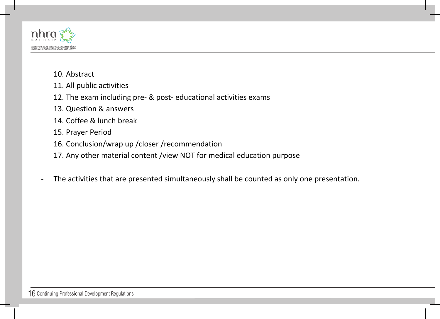

- 10. Abstract
- 11. All public activities
- 12. The exam including pre- & post- educational activities exams
- 13. Question & answers
- 14. Coffee & lunch break
- 15. Prayer Period
- 16. Conclusion/wrap up /closer /recommendation
- 17. Any other material content /view NOT for medical education purpose
- The activities that are presented simultaneously shall be counted as only one presentation.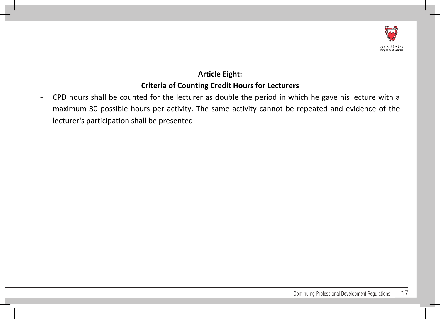

## **Article Eight: Criteria of Counting Credit Hours for Lecturers**

CPD hours shall be counted for the lecturer as double the period in which he gave his lecture with a maximum 30 possible hours per activity. The same activity cannot be repeated and evidence of the lecturer's participation shall be presented.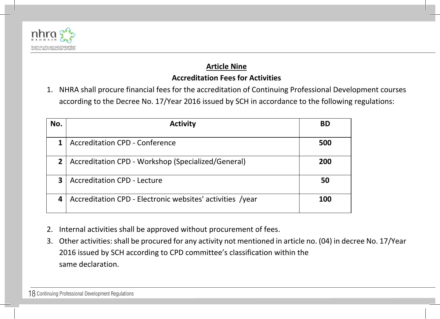

#### **Article Nine**

#### **Accreditation Fees for Activities**

1. NHRA shall procure financial fees for the accreditation of Continuing Professional Development courses according to the Decree No. 17/Year 2016 issued by SCH in accordance to the following regulations:

| No. | <b>Activity</b>                                           | BD  |
|-----|-----------------------------------------------------------|-----|
|     | <b>Accreditation CPD - Conference</b>                     | 500 |
| 2   | Accreditation CPD - Workshop (Specialized/General)        | 200 |
| 3   | <b>Accreditation CPD - Lecture</b>                        | 50  |
|     | Accreditation CPD - Electronic websites' activities /year | 100 |

- 2. Internal activities shall be approved without procurement of fees.
- 3. Other activities: shall be procured for any activity not mentioned in article no. (04) in decree No. 17/Year 2016 issued by SCH according to CPD committee's classification within the same declaration.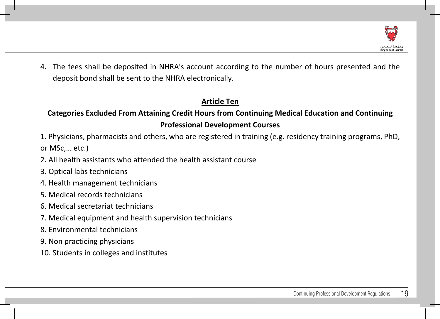

4. The fees shall be deposited in NHRA's account according to the number of hours presented and the deposit bond shall be sent to the NHRA electronically.

## **Article Ten**

## Categories Excluded From Attaining Credit Hours from Continuing Medical Education and Continuing **Professional Development Courses**

1. Physicians, pharmacists and others, who are registered in training (e.g. residency training programs, PhD, or MSc,... etc.)

- 2. All health assistants who attended the health assistant course
- 3. Optical labs technicians
- 4. Health management technicians
- 5. Medical records technicians
- 6. Medical secretariat technicians
- 7. Medical equipment and health supervision technicians
- 8. Environmental technicians
- 9. Non practicing physicians
- 10. Students in colleges and institutes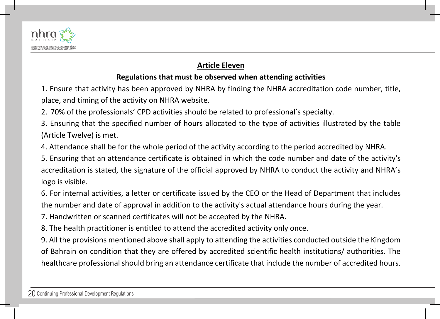

### **Article Eleven**

## **Regulations that must be observed when attending activities**

1. Ensure that activity has been approved by NHRA by finding the NHRA accreditation code number, title, place, and timing of the activity on NHRA website.

2. 70% of the professionals' CPD activities should be related to professional's specialty.

3. Ensuring that the specified number of hours allocated to the type of activities illustrated by the table (Article Twelve) is met.

4. Attendance shall be for the whole period of the activity according to the period accredited by NHRA.

5. Ensuring that an attendance certificate is obtained in which the code number and date of the activity's accreditation is stated, the signature of the official approved by NHRA to conduct the activity and NHRA's logo is visible.

6. For internal activities, a letter or certificate issued by the CEO or the Head of Department that includes the number and date of approval in addition to the activity's actual attendance hours during the year.

7. Handwritten or scanned certificates will not be accepted by the NHRA.

8. The health practitioner is entitled to attend the accredited activity only once.

9. All the provisions mentioned above shall apply to attending the activities conducted outside the Kingdom of Bahrain on condition that they are offered by accredited scientific health institutions/ authorities. The healthcare professional should bring an attendance certificate that include the number of accredited hours.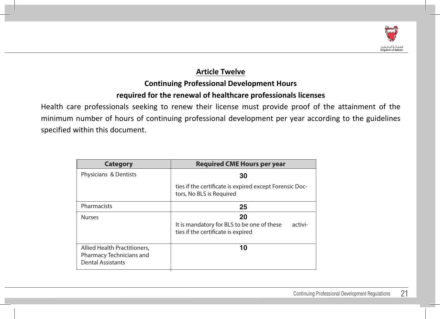

**30**

**25**

**20**

It is mandatory for BLS to be one of these activi

## **Article Twelve Continuing Professional Development Hours required for the renewal of healthcare professionals licenses**

Health care professionals seeking to renew their license must provide proof of the attainment of the minimum number of hours of continuing professional development per year according to the guidelines specified within this document.

| <b>Category</b>                                                                      | <b>Required CME Hours per year</b>                                                                |
|--------------------------------------------------------------------------------------|---------------------------------------------------------------------------------------------------|
| Physicians & Dentists                                                                | 30                                                                                                |
|                                                                                      | ties if the certificate is expired except Forensic Doc-<br>tors, No BLS is Required               |
| Pharmacists                                                                          | 25                                                                                                |
| <b>Nurses</b>                                                                        | 20<br>It is mandatory for BLS to be one of these<br>activi-<br>ties if the certificate is expired |
| Allied Health Practitioners,<br>Pharmacy Technicians and<br><b>Dental Assistants</b> | 10                                                                                                |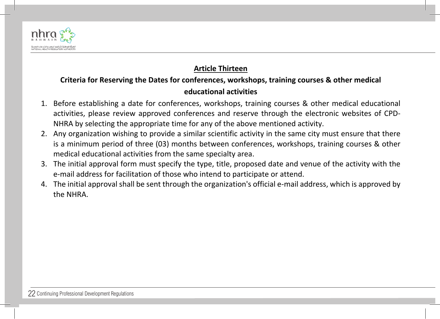

## **Article Thirteen**

## Criteria for Reserving the Dates for conferences, workshops, training courses & other medical **educational activities**

- 1. Before establishing a date for conferences, workshops, training courses & other medical educational activities, please review approved conferences and reserve through the electronic websites of CPD-NHRA by selecting the appropriate time for any of the above mentioned activity.
- 2. Any organization wishing to provide a similar scientific activity in the same city must ensure that there is a minimum period of three (03) months between conferences, workshops, training courses & other medical educational activities from the same specialty area.
- 3. The initial approval form must specify the type, title, proposed date and venue of the activity with the e-mail address for facilitation of those who intend to participate or attend.
- 4. The initial approval shall be sent through the organization's official e-mail address, which is approved by the NHRA.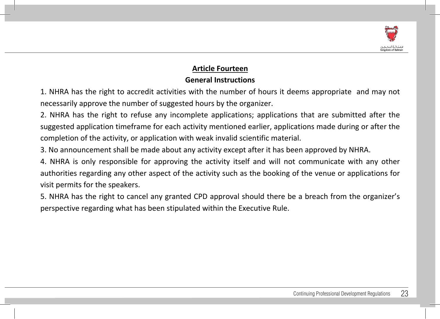

## **Article Fourteen**

## **General Instructions**

1. NHRA has the right to accredit activities with the number of hours it deems appropriate and may not necessarily approve the number of suggested hours by the organizer.

2. NHRA has the right to refuse any incomplete applications; applications that are submitted after the suggested application timeframe for each activity mentioned earlier, applications made during or after the completion of the activity, or application with weak invalid scientific material.

3. No announcement shall be made about any activity except after it has been approved by NHRA.

4. NHRA is only responsible for approving the activity itself and will not communicate with any other authorities regarding any other aspect of the activity such as the booking of the venue or applications for visit permits for the speakers.

5. NHRA has the right to cancel any granted CPD approval should there be a breach from the organizer's perspective regarding what has been stipulated within the Executive Rule.